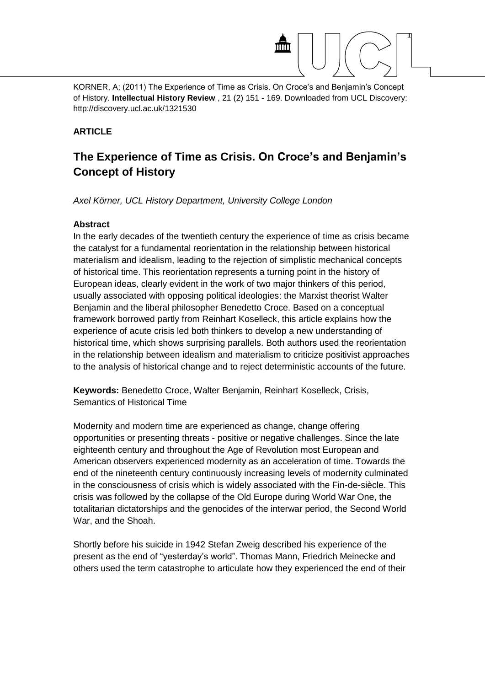

KORNER, A; (2011) The Experience of Time as Crisis. On Croce's and Benjamin's Concept of History. **Intellectual History Review** , 21 (2) 151 - 169. Downloaded from UCL Discovery: http://discovery.ucl.ac.uk/1321530

## **ARTICLE**

## **The Experience of Time as Crisis. On Croce's and Benjamin's Concept of History**

*Axel Körner, UCL History Department, University College London*

## **Abstract**

In the early decades of the twentieth century the experience of time as crisis became the catalyst for a fundamental reorientation in the relationship between historical materialism and idealism, leading to the rejection of simplistic mechanical concepts of historical time. This reorientation represents a turning point in the history of European ideas, clearly evident in the work of two major thinkers of this period, usually associated with opposing political ideologies: the Marxist theorist Walter Benjamin and the liberal philosopher Benedetto Croce. Based on a conceptual framework borrowed partly from Reinhart Koselleck, this article explains how the experience of acute crisis led both thinkers to develop a new understanding of historical time, which shows surprising parallels. Both authors used the reorientation in the relationship between idealism and materialism to criticize positivist approaches to the analysis of historical change and to reject deterministic accounts of the future.

**Keywords:** Benedetto Croce, Walter Benjamin, Reinhart Koselleck, Crisis, Semantics of Historical Time

Modernity and modern time are experienced as change, change offering opportunities or presenting threats - positive or negative challenges. Since the late eighteenth century and throughout the Age of Revolution most European and American observers experienced modernity as an acceleration of time. Towards the end of the nineteenth century continuously increasing levels of modernity culminated in the consciousness of crisis which is widely associated with the Fin-de-siècle. This crisis was followed by the collapse of the Old Europe during World War One, the totalitarian dictatorships and the genocides of the interwar period, the Second World War, and the Shoah.

Shortly before his suicide in 1942 Stefan Zweig described his experience of the present as the end of "yesterday's world". Thomas Mann, Friedrich Meinecke and others used the term catastrophe to articulate how they experienced the end of their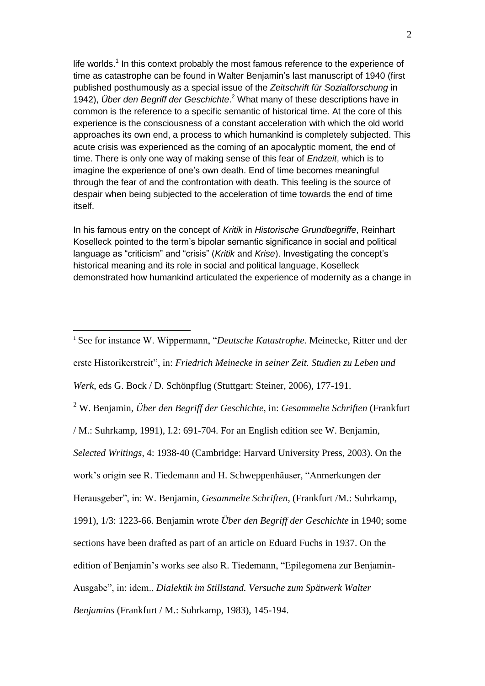life worlds.<sup>1</sup> In this context probably the most famous reference to the experience of time as catastrophe can be found in Walter Benjamin's last manuscript of 1940 (first published posthumously as a special issue of the *Zeitschrift für Sozialforschung* in 1942), *Über den Begriff der Geschichte*. <sup>2</sup> What many of these descriptions have in common is the reference to a specific semantic of historical time. At the core of this experience is the consciousness of a constant acceleration with which the old world approaches its own end, a process to which humankind is completely subjected. This acute crisis was experienced as the coming of an apocalyptic moment, the end of time. There is only one way of making sense of this fear of *Endzeit*, which is to imagine the experience of one's own death. End of time becomes meaningful through the fear of and the confrontation with death. This feeling is the source of despair when being subjected to the acceleration of time towards the end of time itself.

In his famous entry on the concept of *Kritik* in *Historische Grundbegriffe*, Reinhart Koselleck pointed to the term's bipolar semantic significance in social and political language as "criticism" and "crisis" (*Kritik* and *Krise*). Investigating the concept's historical meaning and its role in social and political language, Koselleck demonstrated how humankind articulated the experience of modernity as a change in

<sup>1</sup> See for instance W. Wippermann, "*Deutsche Katastrophe.* Meinecke, Ritter und der erste Historikerstreit", in: *Friedrich Meinecke in seiner Zeit. Studien zu Leben und* 

*Werk*, eds G. Bock / D. Schönpflug (Stuttgart: Steiner, 2006), 177-191.

<sup>2</sup> W. Benjamin, *Über den Begriff der Geschichte*, in: *Gesammelte Schriften* (Frankfurt

<sup>/</sup> M.: Suhrkamp, 1991), I.2: 691-704. For an English edition see W. Benjamin,

*Selected Writings*, 4: 1938-40 (Cambridge: Harvard University Press, 2003). On the

work's origin see R. Tiedemann and H. Schweppenhäuser, "Anmerkungen der

Herausgeber", in: W. Benjamin, *Gesammelte Schriften*, (Frankfurt /M.: Suhrkamp,

<sup>1991), 1/3: 1223-66.</sup> Benjamin wrote *Über den Begriff der Geschichte* in 1940; some

sections have been drafted as part of an article on Eduard Fuchs in 1937. On the

edition of Benjamin's works see also R. Tiedemann, "Epilegomena zur Benjamin-

Ausgabe", in: idem., *Dialektik im Stillstand. Versuche zum Spätwerk Walter* 

*Benjamins* (Frankfurt / M.: Suhrkamp, 1983), 145-194.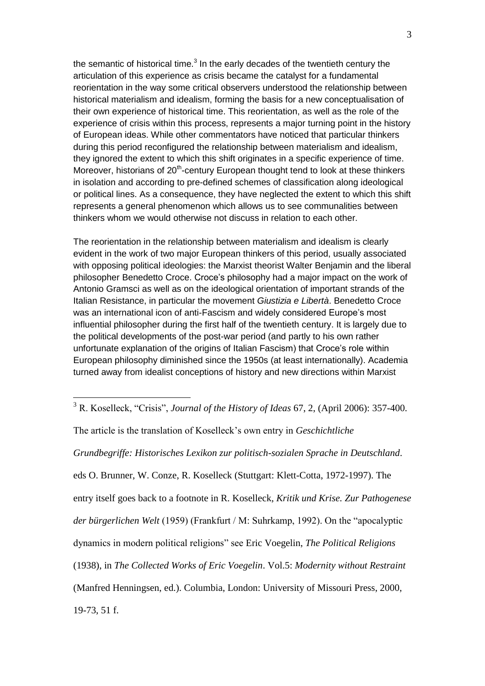the semantic of historical time. $3$  In the early decades of the twentieth century the articulation of this experience as crisis became the catalyst for a fundamental reorientation in the way some critical observers understood the relationship between historical materialism and idealism, forming the basis for a new conceptualisation of their own experience of historical time. This reorientation, as well as the role of the experience of crisis within this process, represents a major turning point in the history of European ideas. While other commentators have noticed that particular thinkers during this period reconfigured the relationship between materialism and idealism, they ignored the extent to which this shift originates in a specific experience of time. Moreover, historians of  $20<sup>th</sup>$ -century European thought tend to look at these thinkers in isolation and according to pre-defined schemes of classification along ideological or political lines. As a consequence, they have neglected the extent to which this shift represents a general phenomenon which allows us to see communalities between thinkers whom we would otherwise not discuss in relation to each other.

The reorientation in the relationship between materialism and idealism is clearly evident in the work of two major European thinkers of this period, usually associated with opposing political ideologies: the Marxist theorist Walter Benjamin and the liberal philosopher Benedetto Croce. Croce's philosophy had a major impact on the work of Antonio Gramsci as well as on the ideological orientation of important strands of the Italian Resistance, in particular the movement *Giustizia e Libertà*. Benedetto Croce was an international icon of anti-Fascism and widely considered Europe's most influential philosopher during the first half of the twentieth century. It is largely due to the political developments of the post-war period (and partly to his own rather unfortunate explanation of the origins of Italian Fascism) that Croce's role within European philosophy diminished since the 1950s (at least internationally). Academia turned away from idealist conceptions of history and new directions within Marxist

<u>.</u>

The article is the translation of Koselleck's own entry in *Geschichtliche Grundbegriffe: Historisches Lexikon zur politisch-sozialen Sprache in Deutschland*. eds O. Brunner, W. Conze, R. Koselleck (Stuttgart: Klett-Cotta, 1972-1997). The entry itself goes back to a footnote in R. Koselleck, *Kritik und Krise. Zur Pathogenese der bürgerlichen Welt* (1959) (Frankfurt / M: Suhrkamp, 1992). On the "apocalyptic dynamics in modern political religions" see Eric Voegelin, *The Political Religions* (1938), in *The Collected Works of Eric Voegelin*. Vol.5: *Modernity without Restraint* (Manfred Henningsen, ed.). Columbia, London: University of Missouri Press, 2000, 19-73, 51 f.

<sup>3</sup> R. Koselleck, "Crisis", *Journal of the History of Ideas* 67, 2, (April 2006): 357-400.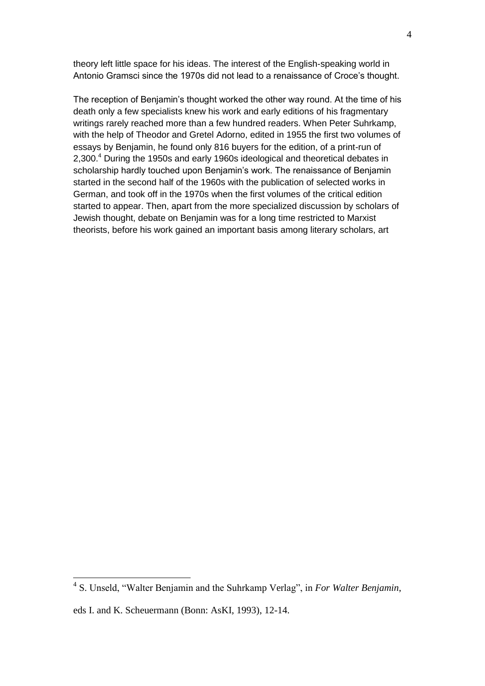theory left little space for his ideas. The interest of the English-speaking world in Antonio Gramsci since the 1970s did not lead to a renaissance of Croce's thought.

The reception of Benjamin's thought worked the other way round. At the time of his death only a few specialists knew his work and early editions of his fragmentary writings rarely reached more than a few hundred readers. When Peter Suhrkamp, with the help of Theodor and Gretel Adorno, edited in 1955 the first two volumes of essays by Benjamin, he found only 816 buyers for the edition, of a print-run of 2,300.<sup>4</sup> During the 1950s and early 1960s ideological and theoretical debates in scholarship hardly touched upon Benjamin's work. The renaissance of Benjamin started in the second half of the 1960s with the publication of selected works in German, and took off in the 1970s when the first volumes of the critical edition started to appear. Then, apart from the more specialized discussion by scholars of Jewish thought, debate on Benjamin was for a long time restricted to Marxist theorists, before his work gained an important basis among literary scholars, art

 4 S. Unseld, "Walter Benjamin and the Suhrkamp Verlag", in *For Walter Benjamin*,

eds I. and K. Scheuermann (Bonn: AsKI, 1993), 12-14.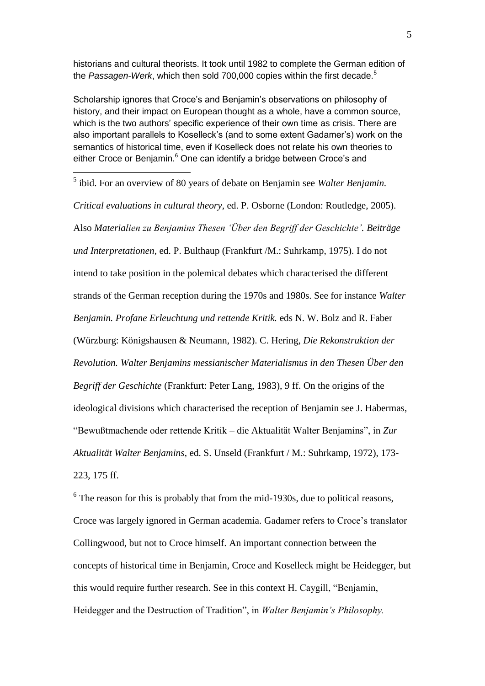historians and cultural theorists. It took until 1982 to complete the German edition of the *Passagen-Werk*, which then sold 700,000 copies within the first decade.<sup>5</sup>

Scholarship ignores that Croce's and Benjamin's observations on philosophy of history, and their impact on European thought as a whole, have a common source, which is the two authors' specific experience of their own time as crisis. There are also important parallels to Koselleck's (and to some extent Gadamer's) work on the semantics of historical time, even if Koselleck does not relate his own theories to either Croce or Benjamin.<sup>6</sup> One can identify a bridge between Croce's and

1

*Critical evaluations in cultural theory*, ed. P. Osborne (London: Routledge, 2005). Also *Materialien zu Benjamins Thesen 'Über den Begriff der Geschichte'. Beiträge und Interpretationen,* ed. P. Bulthaup (Frankfurt /M.: Suhrkamp, 1975). I do not intend to take position in the polemical debates which characterised the different strands of the German reception during the 1970s and 1980s. See for instance *Walter Benjamin. Profane Erleuchtung und rettende Kritik.* eds N. W. Bolz and R. Faber (Würzburg: Königshausen & Neumann, 1982). C. Hering, *Die Rekonstruktion der Revolution. Walter Benjamins messianischer Materialismus in den Thesen Über den Begriff der Geschichte* (Frankfurt: Peter Lang, 1983), 9 ff. On the origins of the ideological divisions which characterised the reception of Benjamin see J. Habermas, "Bewußtmachende oder rettende Kritik – die Aktualität Walter Benjamins", in *Zur Aktualität Walter Benjamins*, ed. S. Unseld (Frankfurt / M.: Suhrkamp, 1972), 173- 223, 175 ff.

 $6$  The reason for this is probably that from the mid-1930s, due to political reasons, Croce was largely ignored in German academia. Gadamer refers to Croce's translator Collingwood, but not to Croce himself. An important connection between the concepts of historical time in Benjamin, Croce and Koselleck might be Heidegger, but this would require further research. See in this context H. Caygill, "Benjamin, Heidegger and the Destruction of Tradition", in *Walter Benjamin's Philosophy.* 

<sup>5</sup> ibid. For an overview of 80 years of debate on Benjamin see *Walter Benjamin.*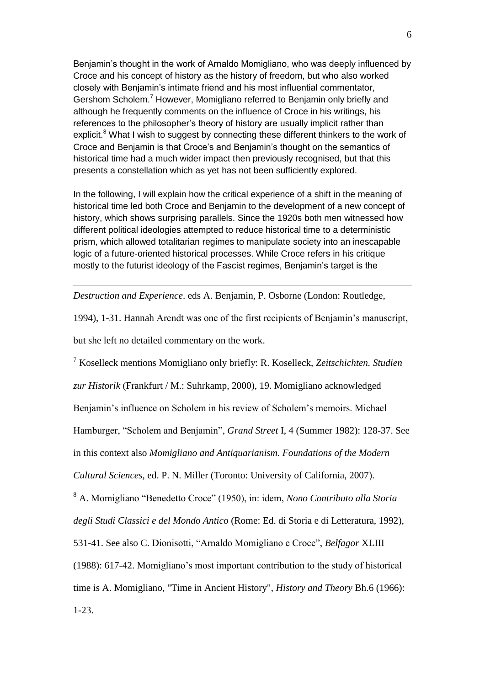Benjamin's thought in the work of Arnaldo Momigliano, who was deeply influenced by Croce and his concept of history as the history of freedom, but who also worked closely with Benjamin's intimate friend and his most influential commentator, Gershom Scholem.<sup>7</sup> However, Momigliano referred to Benjamin only briefly and although he frequently comments on the influence of Croce in his writings, his references to the philosopher's theory of history are usually implicit rather than explicit.<sup>8</sup> What I wish to suggest by connecting these different thinkers to the work of Croce and Benjamin is that Croce's and Benjamin's thought on the semantics of historical time had a much wider impact then previously recognised, but that this presents a constellation which as yet has not been sufficiently explored.

In the following, I will explain how the critical experience of a shift in the meaning of historical time led both Croce and Benjamin to the development of a new concept of history, which shows surprising parallels. Since the 1920s both men witnessed how different political ideologies attempted to reduce historical time to a deterministic prism, which allowed totalitarian regimes to manipulate society into an inescapable logic of a future-oriented historical processes. While Croce refers in his critique mostly to the futurist ideology of the Fascist regimes, Benjamin's target is the

*Destruction and Experience*. eds A. Benjamin, P. Osborne (London: Routledge,

1994), 1-31. Hannah Arendt was one of the first recipients of Benjamin's manuscript,

but she left no detailed commentary on the work.

<sup>7</sup> Koselleck mentions Momigliano only briefly: R. Koselleck, *Zeitschichten. Studien zur Historik* (Frankfurt / M.: Suhrkamp, 2000), 19. Momigliano acknowledged Benjamin's influence on Scholem in his review of Scholem's memoirs. Michael Hamburger, "Scholem and Benjamin", *Grand Street* I, 4 (Summer 1982): 128-37. See in this context also *Momigliano and Antiquarianism. Foundations of the Modern Cultural Sciences,* ed. P. N. Miller (Toronto: University of California, 2007).

<sup>8</sup> A. Momigliano "Benedetto Croce" (1950), in: idem, *Nono Contributo alla Storia* 

*degli Studi Classici e del Mondo Antico* (Rome: Ed. di Storia e di Letteratura, 1992),

531-41. See also C. Dionisotti, "Arnaldo Momigliano e Croce", *Belfagor* XLIII

(1988): 617-42. Momigliano's most important contribution to the study of historical

time is A. Momigliano, "Time in Ancient History", *History and Theory* Bh.6 (1966):

1-23.

1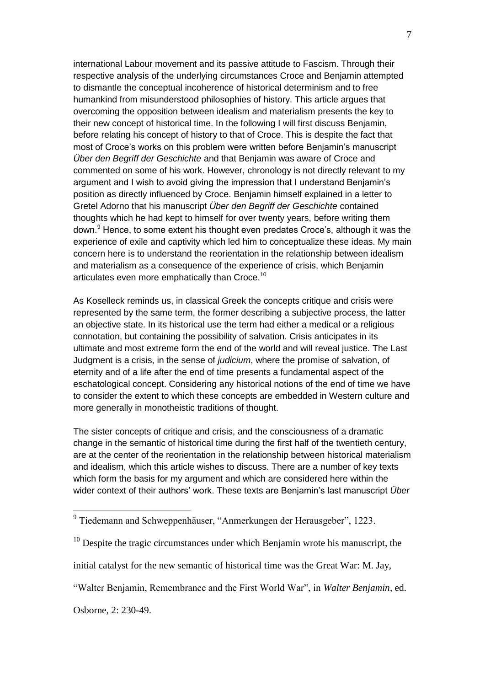international Labour movement and its passive attitude to Fascism. Through their respective analysis of the underlying circumstances Croce and Benjamin attempted to dismantle the conceptual incoherence of historical determinism and to free humankind from misunderstood philosophies of history. This article argues that overcoming the opposition between idealism and materialism presents the key to their new concept of historical time. In the following I will first discuss Benjamin, before relating his concept of history to that of Croce. This is despite the fact that most of Croce's works on this problem were written before Benjamin's manuscript *Über den Begriff der Geschichte* and that Benjamin was aware of Croce and commented on some of his work. However, chronology is not directly relevant to my argument and I wish to avoid giving the impression that I understand Benjamin's position as directly influenced by Croce. Benjamin himself explained in a letter to Gretel Adorno that his manuscript *Über den Begriff der Geschichte* contained thoughts which he had kept to himself for over twenty years, before writing them down.<sup>9</sup> Hence, to some extent his thought even predates Croce's, although it was the experience of exile and captivity which led him to conceptualize these ideas. My main concern here is to understand the reorientation in the relationship between idealism and materialism as a consequence of the experience of crisis, which Benjamin articulates even more emphatically than Croce.<sup>10</sup>

As Koselleck reminds us, in classical Greek the concepts critique and crisis were represented by the same term, the former describing a subjective process, the latter an objective state. In its historical use the term had either a medical or a religious connotation, but containing the possibility of salvation. Crisis anticipates in its ultimate and most extreme form the end of the world and will reveal justice. The Last Judgment is a crisis, in the sense of *judicium*, where the promise of salvation, of eternity and of a life after the end of time presents a fundamental aspect of the eschatological concept. Considering any historical notions of the end of time we have to consider the extent to which these concepts are embedded in Western culture and more generally in monotheistic traditions of thought.

The sister concepts of critique and crisis, and the consciousness of a dramatic change in the semantic of historical time during the first half of the twentieth century, are at the center of the reorientation in the relationship between historical materialism and idealism, which this article wishes to discuss. There are a number of key texts which form the basis for my argument and which are considered here within the wider context of their authors' work. These texts are Benjamin's last manuscript *Über* 

Osborne, 2: 230-49.

<sup>&</sup>lt;sup>9</sup> Tiedemann and Schweppenhäuser, "Anmerkungen der Herausgeber", 1223.

 $10$  Despite the tragic circumstances under which Benjamin wrote his manuscript, the

initial catalyst for the new semantic of historical time was the Great War: M. Jay,

<sup>&</sup>quot;Walter Benjamin, Remembrance and the First World War", in *Walter Benjamin,* ed.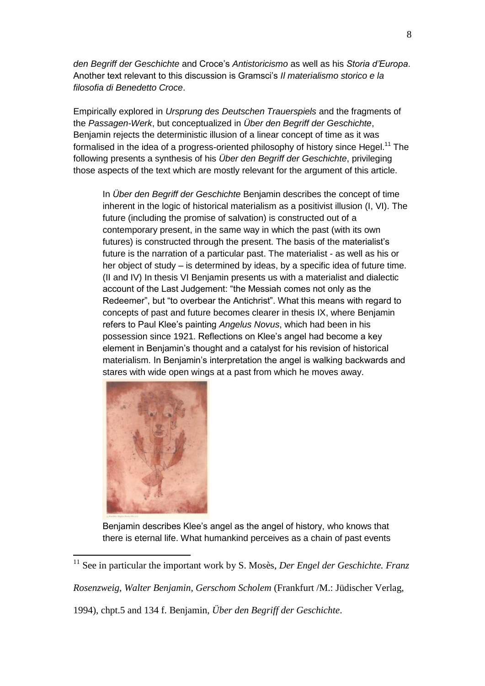*den Begriff der Geschichte* and Croce's *Antistoricismo* as well as his *Storia d'Europa*. Another text relevant to this discussion is Gramsci's *Il materialismo storico e la filosofia di Benedetto Croce*.

Empirically explored in *Ursprung des Deutschen Trauerspiels* and the fragments of the *Passagen-Werk*, but conceptualized in *Über den Begriff der Geschichte*, Benjamin rejects the deterministic illusion of a linear concept of time as it was formalised in the idea of a progress-oriented philosophy of history since Hegel.<sup>11</sup> The following presents a synthesis of his *Über den Begriff der Geschichte*, privileging those aspects of the text which are mostly relevant for the argument of this article.

In *Über den Begriff der Geschichte* Benjamin describes the concept of time inherent in the logic of historical materialism as a positivist illusion (I, VI). The future (including the promise of salvation) is constructed out of a contemporary present, in the same way in which the past (with its own futures) is constructed through the present. The basis of the materialist's future is the narration of a particular past. The materialist - as well as his or her object of study – is determined by ideas, by a specific idea of future time. (II and IV) In thesis VI Benjamin presents us with a materialist and dialectic account of the Last Judgement: "the Messiah comes not only as the Redeemer", but "to overbear the Antichrist". What this means with regard to concepts of past and future becomes clearer in thesis IX, where Benjamin refers to Paul Klee's painting *Angelus Novus*, which had been in his possession since 1921. Reflections on Klee's angel had become a key element in Benjamin's thought and a catalyst for his revision of historical materialism. In Benjamin's interpretation the angel is walking backwards and stares with wide open wings at a past from which he moves away.



1

Benjamin describes Klee's angel as the angel of history, who knows that there is eternal life. What humankind perceives as a chain of past events

*Rosenzweig, Walter Benjamin, Gerschom Scholem* (Frankfurt /M.: Jüdischer Verlag,

1994), chpt.5 and 134 f. Benjamin, *Über den Begriff der Geschichte*.

<sup>&</sup>lt;sup>11</sup> See in particular the important work by S. Mosès, *Der Engel der Geschichte. Franz*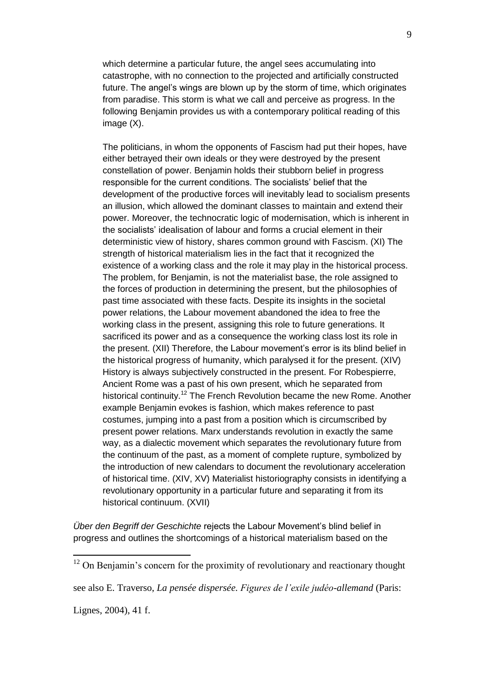which determine a particular future, the angel sees accumulating into catastrophe, with no connection to the projected and artificially constructed future. The angel's wings are blown up by the storm of time, which originates from paradise. This storm is what we call and perceive as progress. In the following Benjamin provides us with a contemporary political reading of this image (X).

The politicians, in whom the opponents of Fascism had put their hopes, have either betrayed their own ideals or they were destroyed by the present constellation of power. Benjamin holds their stubborn belief in progress responsible for the current conditions. The socialists' belief that the development of the productive forces will inevitably lead to socialism presents an illusion, which allowed the dominant classes to maintain and extend their power. Moreover, the technocratic logic of modernisation, which is inherent in the socialists' idealisation of labour and forms a crucial element in their deterministic view of history, shares common ground with Fascism. (XI) The strength of historical materialism lies in the fact that it recognized the existence of a working class and the role it may play in the historical process. The problem, for Benjamin, is not the materialist base, the role assigned to the forces of production in determining the present, but the philosophies of past time associated with these facts. Despite its insights in the societal power relations, the Labour movement abandoned the idea to free the working class in the present, assigning this role to future generations. It sacrificed its power and as a consequence the working class lost its role in the present. (XII) Therefore, the Labour movement's error is its blind belief in the historical progress of humanity, which paralysed it for the present. (XIV) History is always subjectively constructed in the present. For Robespierre, Ancient Rome was a past of his own present, which he separated from historical continuity.<sup>12</sup> The French Revolution became the new Rome. Another example Benjamin evokes is fashion, which makes reference to past costumes, jumping into a past from a position which is circumscribed by present power relations. Marx understands revolution in exactly the same way, as a dialectic movement which separates the revolutionary future from the continuum of the past, as a moment of complete rupture, symbolized by the introduction of new calendars to document the revolutionary acceleration of historical time. (XIV, XV) Materialist historiography consists in identifying a revolutionary opportunity in a particular future and separating it from its historical continuum. (XVII)

*Über den Begriff der Geschichte* rejects the Labour Movement's blind belief in progress and outlines the shortcomings of a historical materialism based on the

see also E. Traverso, *La pensée dispersée. Figures de l'exile judéo-allemand* (Paris:

Lignes, 2004), 41 f.

1

 $12$  On Benjamin's concern for the proximity of revolutionary and reactionary thought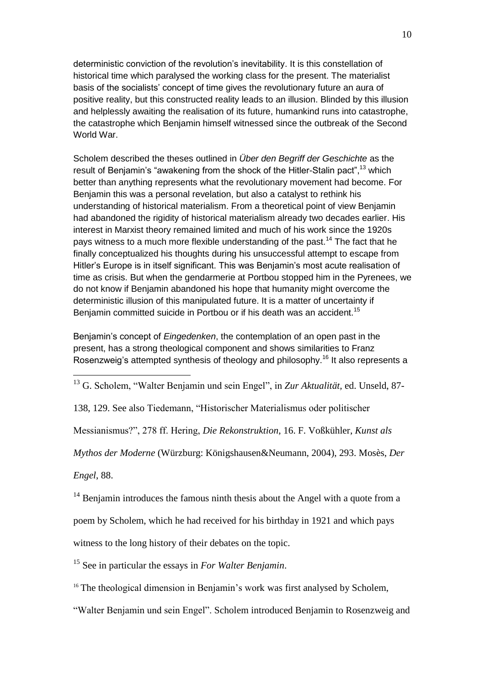deterministic conviction of the revolution's inevitability. It is this constellation of historical time which paralysed the working class for the present. The materialist basis of the socialists' concept of time gives the revolutionary future an aura of positive reality, but this constructed reality leads to an illusion. Blinded by this illusion and helplessly awaiting the realisation of its future, humankind runs into catastrophe, the catastrophe which Benjamin himself witnessed since the outbreak of the Second World War.

Scholem described the theses outlined in *Über den Begriff der Geschichte* as the result of Benjamin's "awakening from the shock of the Hitler-Stalin pact",<sup>13</sup> which better than anything represents what the revolutionary movement had become. For Benjamin this was a personal revelation, but also a catalyst to rethink his understanding of historical materialism. From a theoretical point of view Benjamin had abandoned the rigidity of historical materialism already two decades earlier. His interest in Marxist theory remained limited and much of his work since the 1920s pays witness to a much more flexible understanding of the past.<sup>14</sup> The fact that he finally conceptualized his thoughts during his unsuccessful attempt to escape from Hitler's Europe is in itself significant. This was Benjamin's most acute realisation of time as crisis. But when the gendarmerie at Portbou stopped him in the Pyrenees, we do not know if Benjamin abandoned his hope that humanity might overcome the deterministic illusion of this manipulated future. It is a matter of uncertainty if Benjamin committed suicide in Portbou or if his death was an accident.<sup>15</sup>

Benjamin's concept of *Eingedenken*, the contemplation of an open past in the present, has a strong theological component and shows similarities to Franz Rosenzweig's attempted synthesis of theology and philosophy.<sup>16</sup> It also represents a

<sup>13</sup> G. Scholem, "Walter Benjamin und sein Engel", in *Zur Aktualität,* ed. Unseld, 87-

138, 129. See also Tiedemann, "Historischer Materialismus oder politischer

Messianismus?", 278 ff. Hering, *Die Rekonstruktion*, 16. F. Voßkühler, *Kunst als* 

*Mythos der Moderne* (Würzburg: Königshausen&Neumann, 2004), 293. Mosès, *Der* 

*Engel*, 88.

1

 $14$  Benjamin introduces the famous ninth thesis about the Angel with a quote from a

poem by Scholem, which he had received for his birthday in 1921 and which pays

witness to the long history of their debates on the topic.

<sup>15</sup> See in particular the essays in *For Walter Benjamin*.

<sup>16</sup> The theological dimension in Benjamin's work was first analysed by Scholem,

"Walter Benjamin und sein Engel". Scholem introduced Benjamin to Rosenzweig and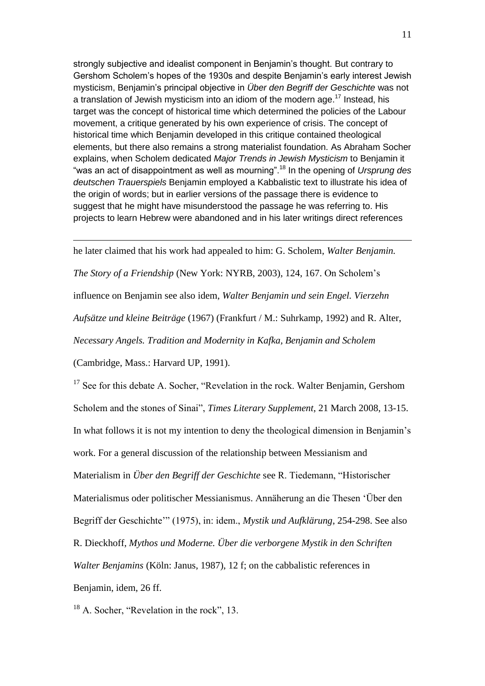strongly subjective and idealist component in Benjamin's thought. But contrary to Gershom Scholem's hopes of the 1930s and despite Benjamin's early interest Jewish mysticism, Benjamin's principal objective in *Über den Begriff der Geschichte* was not a translation of Jewish mysticism into an idiom of the modern age.<sup>17</sup> Instead, his target was the concept of historical time which determined the policies of the Labour movement, a critique generated by his own experience of crisis. The concept of historical time which Benjamin developed in this critique contained theological elements, but there also remains a strong materialist foundation. As Abraham Socher explains, when Scholem dedicated *Major Trends in Jewish Mysticism* to Benjamin it "was an act of disappointment as well as mourning".<sup>18</sup> In the opening of *Ursprung des deutschen Trauerspiels* Benjamin employed a Kabbalistic text to illustrate his idea of the origin of words; but in earlier versions of the passage there is evidence to suggest that he might have misunderstood the passage he was referring to. His projects to learn Hebrew were abandoned and in his later writings direct references

he later claimed that his work had appealed to him: G. Scholem, *Walter Benjamin. The Story of a Friendship* (New York: NYRB, 2003), 124, 167. On Scholem's influence on Benjamin see also idem, *Walter Benjamin und sein Engel. Vierzehn Aufsätze und kleine Beiträge* (1967) (Frankfurt / M.: Suhrkamp, 1992) and R. Alter, *Necessary Angels. Tradition and Modernity in Kafka, Benjamin and Scholem*  (Cambridge, Mass.: Harvard UP, 1991).

 $17$  See for this debate A. Socher, "Revelation in the rock. Walter Benjamin, Gershom Scholem and the stones of Sinai", *Times Literary Supplement*, 21 March 2008, 13-15. In what follows it is not my intention to deny the theological dimension in Benjamin's work. For a general discussion of the relationship between Messianism and Materialism in *Über den Begriff der Geschichte* see R. Tiedemann, "Historischer Materialismus oder politischer Messianismus. Annäherung an die Thesen 'Über den Begriff der Geschichte'" (1975), in: idem., *Mystik und Aufklärung*, 254-298. See also R. Dieckhoff, *Mythos und Moderne. Über die verborgene Mystik in den Schriften Walter Benjamins* (Köln: Janus, 1987), 12 f; on the cabbalistic references in Benjamin, idem, 26 ff.

<sup>18</sup> A. Socher, "Revelation in the rock", 13.

1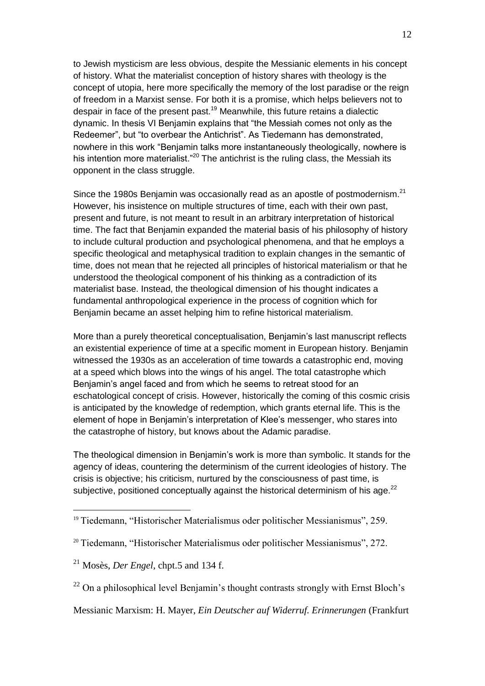to Jewish mysticism are less obvious, despite the Messianic elements in his concept of history. What the materialist conception of history shares with theology is the concept of utopia, here more specifically the memory of the lost paradise or the reign of freedom in a Marxist sense. For both it is a promise, which helps believers not to despair in face of the present past.<sup>19</sup> Meanwhile, this future retains a dialectic dynamic. In thesis VI Benjamin explains that "the Messiah comes not only as the Redeemer", but "to overbear the Antichrist". As Tiedemann has demonstrated, nowhere in this work "Benjamin talks more instantaneously theologically, nowhere is his intention more materialist."<sup>20</sup> The antichrist is the ruling class, the Messiah its opponent in the class struggle.

Since the 1980s Benjamin was occasionally read as an apostle of postmodernism.<sup>21</sup> However, his insistence on multiple structures of time, each with their own past, present and future, is not meant to result in an arbitrary interpretation of historical time. The fact that Benjamin expanded the material basis of his philosophy of history to include cultural production and psychological phenomena, and that he employs a specific theological and metaphysical tradition to explain changes in the semantic of time, does not mean that he rejected all principles of historical materialism or that he understood the theological component of his thinking as a contradiction of its materialist base. Instead, the theological dimension of his thought indicates a fundamental anthropological experience in the process of cognition which for Benjamin became an asset helping him to refine historical materialism.

More than a purely theoretical conceptualisation, Benjamin's last manuscript reflects an existential experience of time at a specific moment in European history. Benjamin witnessed the 1930s as an acceleration of time towards a catastrophic end, moving at a speed which blows into the wings of his angel. The total catastrophe which Benjamin's angel faced and from which he seems to retreat stood for an eschatological concept of crisis. However, historically the coming of this cosmic crisis is anticipated by the knowledge of redemption, which grants eternal life. This is the element of hope in Benjamin's interpretation of Klee's messenger, who stares into the catastrophe of history, but knows about the Adamic paradise.

The theological dimension in Benjamin's work is more than symbolic. It stands for the agency of ideas, countering the determinism of the current ideologies of history. The crisis is objective; his criticism, nurtured by the consciousness of past time, is subjective, positioned conceptually against the historical determinism of his age.<sup>22</sup>

<sup>&</sup>lt;sup>19</sup> Tiedemann, "Historischer Materialismus oder politischer Messianismus", 259.

<sup>&</sup>lt;sup>20</sup> Tiedemann, "Historischer Materialismus oder politischer Messianismus", 272.

<sup>21</sup> Mosès, *Der Engel*, chpt.5 and 134 f.

 $^{22}$  On a philosophical level Benjamin's thought contrasts strongly with Ernst Bloch's

Messianic Marxism: H. Mayer, *Ein Deutscher auf Widerruf. Erinnerungen* (Frankfurt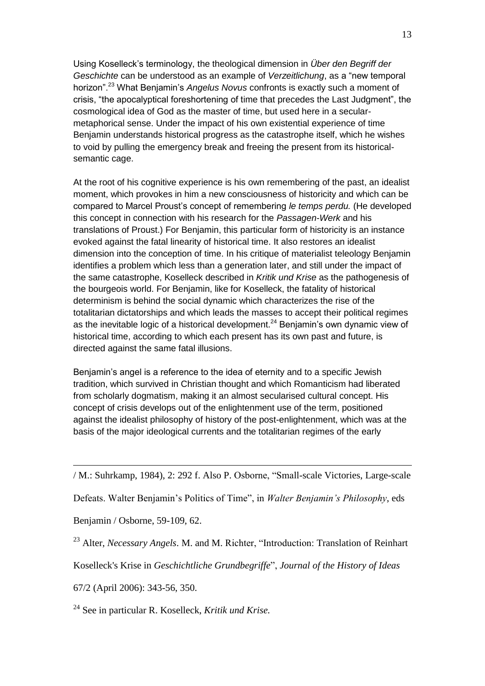Using Koselleck's terminology, the theological dimension in *Über den Begriff der Geschichte* can be understood as an example of *Verzeitlichung*, as a "new temporal horizon".<sup>23</sup> What Benjamin's *Angelus Novus* confronts is exactly such a moment of crisis, "the apocalyptical foreshortening of time that precedes the Last Judgment", the cosmological idea of God as the master of time, but used here in a secularmetaphorical sense. Under the impact of his own existential experience of time Benjamin understands historical progress as the catastrophe itself, which he wishes to void by pulling the emergency break and freeing the present from its historicalsemantic cage.

At the root of his cognitive experience is his own remembering of the past, an idealist moment, which provokes in him a new consciousness of historicity and which can be compared to Marcel Proust's concept of remembering *le temps perdu.* (He developed this concept in connection with his research for the *Passagen-Werk* and his translations of Proust.) For Benjamin, this particular form of historicity is an instance evoked against the fatal linearity of historical time. It also restores an idealist dimension into the conception of time. In his critique of materialist teleology Benjamin identifies a problem which less than a generation later, and still under the impact of the same catastrophe, Koselleck described in *Kritik und Krise* as the pathogenesis of the bourgeois world. For Benjamin, like for Koselleck, the fatality of historical determinism is behind the social dynamic which characterizes the rise of the totalitarian dictatorships and which leads the masses to accept their political regimes as the inevitable logic of a historical development. $^{24}$  Benjamin's own dynamic view of historical time, according to which each present has its own past and future, is directed against the same fatal illusions.

Benjamin's angel is a reference to the idea of eternity and to a specific Jewish tradition, which survived in Christian thought and which Romanticism had liberated from scholarly dogmatism, making it an almost secularised cultural concept. His concept of crisis develops out of the enlightenment use of the term, positioned against the idealist philosophy of history of the post-enlightenment, which was at the basis of the major ideological currents and the totalitarian regimes of the early

Benjamin / Osborne, 59-109, 62.

<u>.</u>

<sup>23</sup> Alter, *Necessary Angels*. M. and M. Richter, "Introduction: Translation of Reinhart

Koselleck's Krise in *Geschichtliche Grundbegriffe*", *Journal of the History of Ideas*

67/2 (April 2006): 343-56, 350.

<sup>24</sup> See in particular R. Koselleck, *Kritik und Krise.*

<sup>/</sup> M.: Suhrkamp, 1984), 2: 292 f. Also P. Osborne, "Small-scale Victories, Large-scale

Defeats. Walter Benjamin's Politics of Time", in *Walter Benjamin's Philosophy*, eds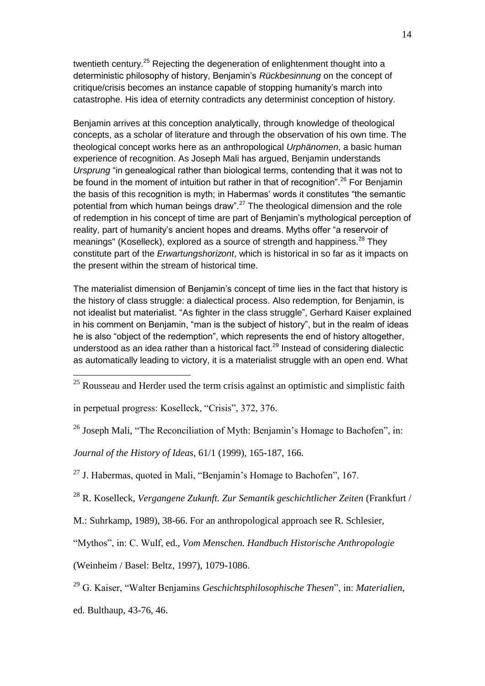twentieth century.<sup>25</sup> Rejecting the degeneration of enlightenment thought into a deterministic philosophy of history, Benjamin's *Rückbesinnung* on the concept of critique/crisis becomes an instance capable of stopping humanity's march into catastrophe. His idea of eternity contradicts any determinist conception of history.

Benjamin arrives at this conception analytically, through knowledge of theological concepts, as a scholar of literature and through the observation of his own time. The theological concept works here as an anthropological *Urphänomen*, a basic human experience of recognition. As Joseph Mali has argued, Benjamin understands *Ursprung* "in genealogical rather than biological terms, contending that it was not to be found in the moment of intuition but rather in that of recognition".<sup>26</sup> For Benjamin the basis of this recognition is myth; in Habermas' words it constitutes "the semantic potential from which human beings draw".<sup>27</sup> The theological dimension and the role of redemption in his concept of time are part of Benjamin's mythological perception of reality, part of humanity's ancient hopes and dreams. Myths offer "a reservoir of meanings" (Koselleck), explored as a source of strength and happiness.<sup>28</sup> They constitute part of the *Erwartungshorizont*, which is historical in so far as it impacts on the present within the stream of historical time.

The materialist dimension of Benjamin's concept of time lies in the fact that history is the history of class struggle: a dialectical process. Also redemption, for Benjamin, is not idealist but materialist. "As fighter in the class struggle", Gerhard Kaiser explained in his comment on Benjamin, "man is the subject of history", but in the realm of ideas he is also "object of the redemption", which represents the end of history altogether, understood as an idea rather than a historical fact. $^{29}$  Instead of considering dialectic as automatically leading to victory, it is a materialist struggle with an open end. What

in perpetual progress: Koselleck, "Crisis", 372, 376.

*Journal of the History of Ideas*, 61/1 (1999), 165-187, 166.

 $^{27}$  J. Habermas, quoted in Mali, "Benjamin's Homage to Bachofen", 167.

<sup>28</sup> R. Koselleck, *Vergangene Zukunft. Zur Semantik geschichtlicher Zeiten* (Frankfurt /

M.: Suhrkamp, 1989), 38-66. For an anthropological approach see R. Schlesier,

"Mythos", in: C. Wulf, ed., *Vom Menschen. Handbuch Historische Anthropologie*

(Weinheim / Basel: Beltz, 1997), 1079-1086.

<sup>29</sup> G. Kaiser, "Walter Benjamins *Geschichtsphilosophische Thesen*", in: *Materialien*,

ed. Bulthaup, 43-76, 46.

1

 $25$  Rousseau and Herder used the term crisis against an optimistic and simplistic faith

<sup>&</sup>lt;sup>26</sup> Joseph Mali, "The Reconciliation of Myth: Benjamin's Homage to Bachofen", in: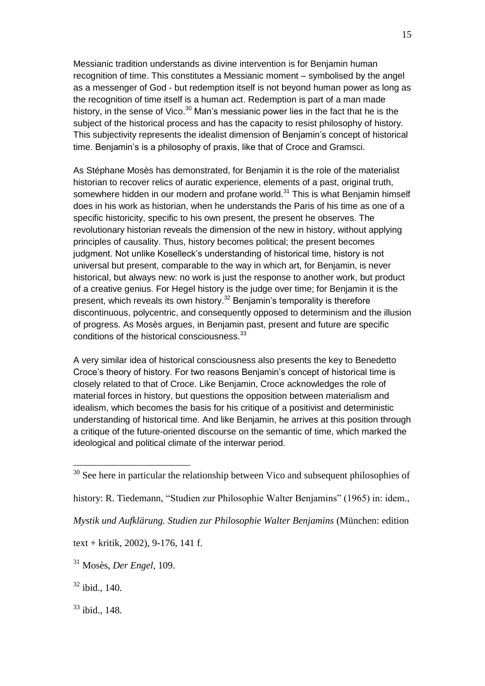Messianic tradition understands as divine intervention is for Benjamin human recognition of time. This constitutes a Messianic moment – symbolised by the angel as a messenger of God - but redemption itself is not beyond human power as long as the recognition of time itself is a human act. Redemption is part of a man made history, in the sense of Vico.<sup>30</sup> Man's messianic power lies in the fact that he is the subject of the historical process and has the capacity to resist philosophy of history. This subjectivity represents the idealist dimension of Benjamin's concept of historical time. Benjamin's is a philosophy of praxis, like that of Croce and Gramsci.

As Stéphane Mosès has demonstrated, for Benjamin it is the role of the materialist historian to recover relics of auratic experience, elements of a past, original truth, somewhere hidden in our modern and profane world.<sup>31</sup> This is what Benjamin himself does in his work as historian, when he understands the Paris of his time as one of a specific historicity, specific to his own present, the present he observes. The revolutionary historian reveals the dimension of the new in history, without applying principles of causality. Thus, history becomes political; the present becomes judgment. Not unlike Koselleck's understanding of historical time, history is not universal but present, comparable to the way in which art, for Benjamin, is never historical, but always new: no work is just the response to another work, but product of a creative genius. For Hegel history is the judge over time; for Benjamin it is the present, which reveals its own history.<sup>32</sup> Benjamin's temporality is therefore discontinuous, polycentric, and consequently opposed to determinism and the illusion of progress. As Mosès argues, in Benjamin past, present and future are specific conditions of the historical consciousness.<sup>33</sup>

A very similar idea of historical consciousness also presents the key to Benedetto Croce's theory of history. For two reasons Benjamin's concept of historical time is closely related to that of Croce. Like Benjamin, Croce acknowledges the role of material forces in history, but questions the opposition between materialism and idealism, which becomes the basis for his critique of a positivist and deterministic understanding of historical time. And like Benjamin, he arrives at this position through a critique of the future-oriented discourse on the semantic of time, which marked the ideological and political climate of the interwar period.

text + kritik, 2002), 9-176, 141 f.

 $30$  See here in particular the relationship between Vico and subsequent philosophies of

history: R. Tiedemann, "Studien zur Philosophie Walter Benjamins" (1965) in: idem.,

*Mystik und Aufklärung. Studien zur Philosophie Walter Benjamins* (München: edition

<sup>31</sup> Mosès, *Der Engel,* 109.

 $32$  ibid., 140.

<sup>33</sup> ibid., 148.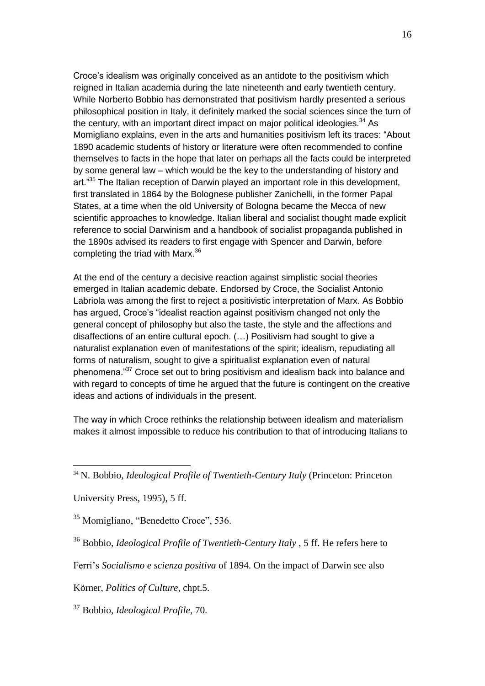Croce's idealism was originally conceived as an antidote to the positivism which reigned in Italian academia during the late nineteenth and early twentieth century. While Norberto Bobbio has demonstrated that positivism hardly presented a serious philosophical position in Italy, it definitely marked the social sciences since the turn of the century, with an important direct impact on major political ideologies.<sup>34</sup> As Momigliano explains, even in the arts and humanities positivism left its traces: "About 1890 academic students of history or literature were often recommended to confine themselves to facts in the hope that later on perhaps all the facts could be interpreted by some general law – which would be the key to the understanding of history and art."<sup>35</sup> The Italian reception of Darwin played an important role in this development, first translated in 1864 by the Bolognese publisher Zanichelli, in the former Papal States, at a time when the old University of Bologna became the Mecca of new scientific approaches to knowledge. Italian liberal and socialist thought made explicit reference to social Darwinism and a handbook of socialist propaganda published in the 1890s advised its readers to first engage with Spencer and Darwin, before completing the triad with Marx.<sup>36</sup>

At the end of the century a decisive reaction against simplistic social theories emerged in Italian academic debate. Endorsed by Croce, the Socialist Antonio Labriola was among the first to reject a positivistic interpretation of Marx. As Bobbio has argued, Croce's "idealist reaction against positivism changed not only the general concept of philosophy but also the taste, the style and the affections and disaffections of an entire cultural epoch. (…) Positivism had sought to give a naturalist explanation even of manifestations of the spirit; idealism, repudiating all forms of naturalism, sought to give a spiritualist explanation even of natural phenomena."<sup>37</sup> Croce set out to bring positivism and idealism back into balance and with regard to concepts of time he argued that the future is contingent on the creative ideas and actions of individuals in the present.

The way in which Croce rethinks the relationship between idealism and materialism makes it almost impossible to reduce his contribution to that of introducing Italians to

University Press, 1995), 5 ff.

<u>.</u>

<sup>35</sup> Momigliano, "Benedetto Croce", 536.

<sup>36</sup> Bobbio, *Ideological Profile of Twentieth-Century Italy* , 5 ff. He refers here to

Ferri's *Socialismo e scienza positiva* of 1894. On the impact of Darwin see also

Körner, *Politics of Culture,* chpt.5.

<sup>37</sup> Bobbio, *Ideological Profile*, 70.

<sup>34</sup> N. Bobbio, *Ideological Profile of Twentieth-Century Italy* (Princeton: Princeton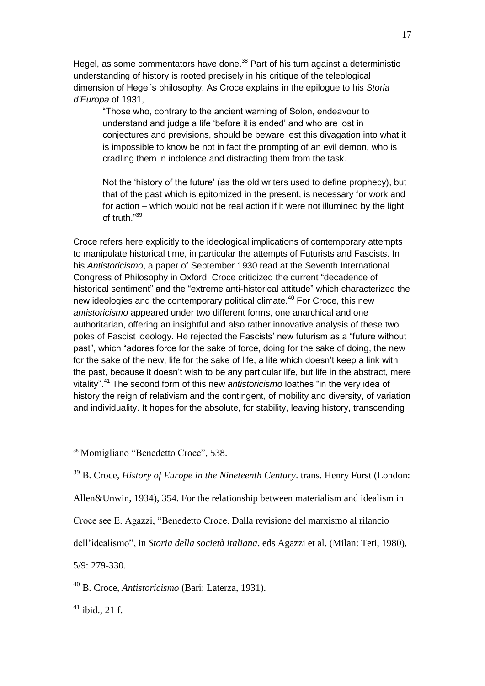Hegel, as some commentators have done.<sup>38</sup> Part of his turn against a deterministic understanding of history is rooted precisely in his critique of the teleological dimension of Hegel's philosophy. As Croce explains in the epilogue to his *Storia d'Europa* of 1931,

"Those who, contrary to the ancient warning of Solon, endeavour to understand and judge a life 'before it is ended' and who are lost in conjectures and previsions, should be beware lest this divagation into what it is impossible to know be not in fact the prompting of an evil demon, who is cradling them in indolence and distracting them from the task.

Not the 'history of the future' (as the old writers used to define prophecy), but that of the past which is epitomized in the present, is necessary for work and for action – which would not be real action if it were not illumined by the light of truth."39

Croce refers here explicitly to the ideological implications of contemporary attempts to manipulate historical time, in particular the attempts of Futurists and Fascists. In his *Antistoricismo*, a paper of September 1930 read at the Seventh International Congress of Philosophy in Oxford, Croce criticized the current "decadence of historical sentiment" and the "extreme anti-historical attitude" which characterized the new ideologies and the contemporary political climate.<sup>40</sup> For Croce, this new *antistoricismo* appeared under two different forms, one anarchical and one authoritarian, offering an insightful and also rather innovative analysis of these two poles of Fascist ideology. He rejected the Fascists' new futurism as a "future without past", which "adores force for the sake of force, doing for the sake of doing, the new for the sake of the new, life for the sake of life, a life which doesn't keep a link with the past, because it doesn't wish to be any particular life, but life in the abstract, mere vitality".<sup>41</sup> The second form of this new *antistoricismo* loathes "in the very idea of history the reign of relativism and the contingent, of mobility and diversity, of variation and individuality. It hopes for the absolute, for stability, leaving history, transcending

Allen&Unwin, 1934), 354. For the relationship between materialism and idealism in

dell'idealismo", in *Storia della società italiana*. eds Agazzi et al. (Milan: Teti, 1980),

5/9: 279-330.

1

<sup>40</sup> B. Croce, *Antistoricismo* (Bari: Laterza, 1931).

 $41$  ibid., 21 f.

<sup>&</sup>lt;sup>38</sup> Momigliano "Benedetto Croce", 538.

<sup>39</sup> B. Croce, *History of Europe in the Nineteenth Century*. trans. Henry Furst (London:

Croce see E. Agazzi, "Benedetto Croce. Dalla revisione del marxismo al rilancio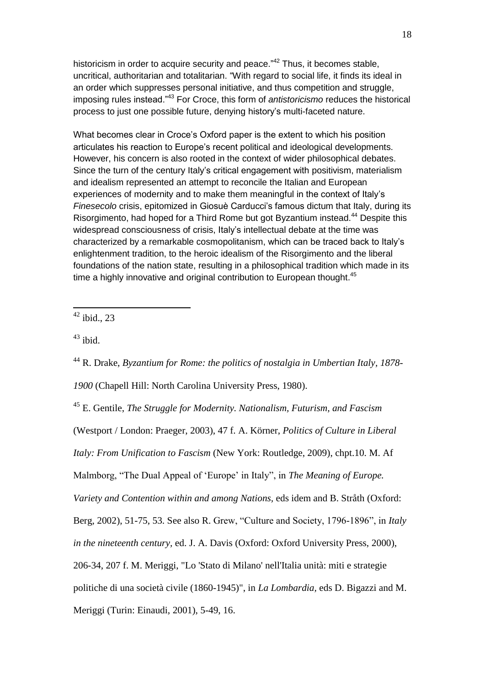historicism in order to acquire security and peace."<sup>42</sup> Thus, it becomes stable, uncritical, authoritarian and totalitarian. "With regard to social life, it finds its ideal in an order which suppresses personal initiative, and thus competition and struggle, imposing rules instead."<sup>43</sup> For Croce, this form of *antistoricismo* reduces the historical process to just one possible future, denying history's multi-faceted nature.

What becomes clear in Croce's Oxford paper is the extent to which his position articulates his reaction to Europe's recent political and ideological developments. However, his concern is also rooted in the context of wider philosophical debates. Since the turn of the century Italy's critical engagement with positivism, materialism and idealism represented an attempt to reconcile the Italian and European experiences of modernity and to make them meaningful in the context of Italy's *Finesecolo* crisis, epitomized in Giosuè Carducci's famous dictum that Italy, during its Risorgimento, had hoped for a Third Rome but got Byzantium instead.<sup>44</sup> Despite this widespread consciousness of crisis, Italy's intellectual debate at the time was characterized by a remarkable cosmopolitanism, which can be traced back to Italy's enlightenment tradition, to the heroic idealism of the Risorgimento and the liberal foundations of the nation state, resulting in a philosophical tradition which made in its time a highly innovative and original contribution to European thought.<sup>45</sup>

 $43$  ibid.

1

<sup>44</sup> R. Drake, *Byzantium for Rome: the politics of nostalgia in Umbertian Italy, 1878-*

*1900* (Chapell Hill: North Carolina University Press, 1980).

<sup>45</sup> E. Gentile, *The Struggle for Modernity. Nationalism, Futurism, and Fascism*

(Westport / London: Praeger, 2003), 47 f. A. Körner, *Politics of Culture in Liberal* 

*Italy: From Unification to Fascism* (New York: Routledge, 2009), chpt.10. M. Af

Malmborg, "The Dual Appeal of 'Europe' in Italy", in *The Meaning of Europe.* 

*Variety and Contention within and among Nations,* eds idem and B. Stråth (Oxford:

Berg, 2002), 51-75, 53. See also R. Grew, "Culture and Society, 1796-1896", in *Italy* 

*in the nineteenth century,* ed. J. A. Davis (Oxford: Oxford University Press, 2000),

206-34, 207 f. M. Meriggi, "Lo 'Stato di Milano' nell'Italia unità: miti e strategie

politiche di una società civile (1860-1945)", in *La Lombardia,* eds D. Bigazzi and M.

Meriggi (Turin: Einaudi, 2001), 5-49, 16.

 $42$  ibid., 23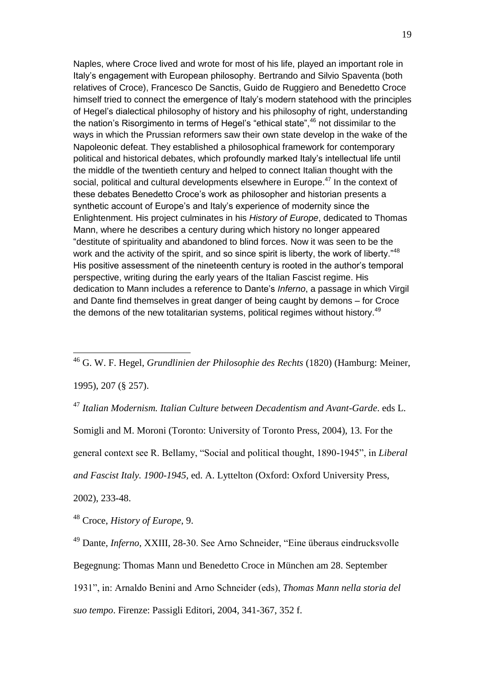Naples, where Croce lived and wrote for most of his life, played an important role in Italy's engagement with European philosophy. Bertrando and Silvio Spaventa (both relatives of Croce), Francesco De Sanctis, Guido de Ruggiero and Benedetto Croce himself tried to connect the emergence of Italy's modern statehood with the principles of Hegel's dialectical philosophy of history and his philosophy of right, understanding the nation's Risorgimento in terms of Hegel's "ethical state",<sup>46</sup> not dissimilar to the ways in which the Prussian reformers saw their own state develop in the wake of the Napoleonic defeat. They established a philosophical framework for contemporary political and historical debates, which profoundly marked Italy's intellectual life until the middle of the twentieth century and helped to connect Italian thought with the social, political and cultural developments elsewhere in Europe.<sup>47</sup> In the context of these debates Benedetto Croce's work as philosopher and historian presents a synthetic account of Europe's and Italy's experience of modernity since the Enlightenment. His project culminates in his *History of Europe*, dedicated to Thomas Mann, where he describes a century during which history no longer appeared "destitute of spirituality and abandoned to blind forces. Now it was seen to be the work and the activity of the spirit, and so since spirit is liberty, the work of liberty."<sup>48</sup> His positive assessment of the nineteenth century is rooted in the author's temporal perspective, writing during the early years of the Italian Fascist regime. His dedication to Mann includes a reference to Dante's *Inferno*, a passage in which Virgil and Dante find themselves in great danger of being caught by demons – for Croce the demons of the new totalitarian systems, political regimes without history.<sup>49</sup>

<sup>46</sup> G. W. F. Hegel, *Grundlinien der Philosophie des Rechts* (1820) (Hamburg: Meiner,

1995), 207 (§ 257).

1

<sup>47</sup> *Italian Modernism. Italian Culture between Decadentism and Avant-Garde*. eds L.

Somigli and M. Moroni (Toronto: University of Toronto Press, 2004), 13. For the general context see R. Bellamy, "Social and political thought, 1890-1945", in *Liberal* 

*and Fascist Italy. 1900-1945,* ed. A. Lyttelton (Oxford: Oxford University Press,

2002), 233-48.

<sup>48</sup> Croce, *History of Europe*, 9.

<sup>49</sup> Dante, *Inferno*, XXIII, 28-30. See Arno Schneider, "Eine überaus eindrucksvolle

Begegnung: Thomas Mann und Benedetto Croce in München am 28. September

1931", in: Arnaldo Benini and Arno Schneider (eds), *Thomas Mann nella storia del* 

*suo tempo*. Firenze: Passigli Editori, 2004, 341-367, 352 f.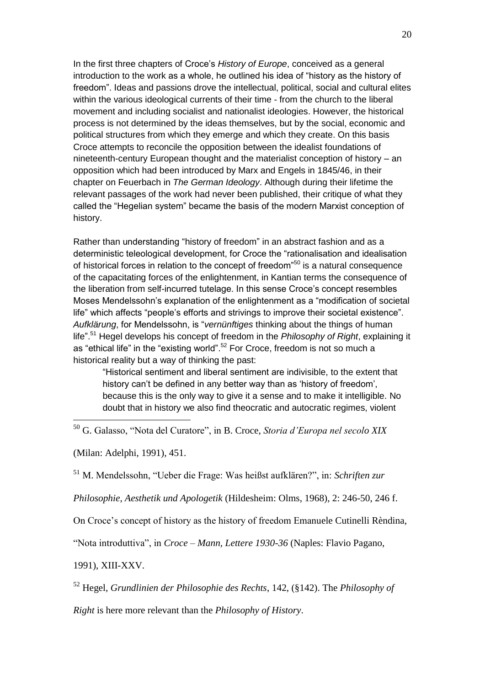In the first three chapters of Croce's *History of Europe*, conceived as a general introduction to the work as a whole, he outlined his idea of "history as the history of freedom". Ideas and passions drove the intellectual, political, social and cultural elites within the various ideological currents of their time - from the church to the liberal movement and including socialist and nationalist ideologies. However, the historical process is not determined by the ideas themselves, but by the social, economic and political structures from which they emerge and which they create. On this basis Croce attempts to reconcile the opposition between the idealist foundations of nineteenth-century European thought and the materialist conception of history – an opposition which had been introduced by Marx and Engels in 1845/46, in their chapter on Feuerbach in *The German Ideology*. Although during their lifetime the relevant passages of the work had never been published, their critique of what they called the "Hegelian system" became the basis of the modern Marxist conception of history.

Rather than understanding "history of freedom" in an abstract fashion and as a deterministic teleological development, for Croce the "rationalisation and idealisation of historical forces in relation to the concept of freedom<sup>"50</sup> is a natural consequence of the capacitating forces of the enlightenment, in Kantian terms the consequence of the liberation from self-incurred tutelage. In this sense Croce's concept resembles Moses Mendelssohn's explanation of the enlightenment as a "modification of societal life" which affects "people's efforts and strivings to improve their societal existence". *Aufklärung*, for Mendelssohn, is "*vernünftiges* thinking about the things of human life".<sup>51</sup> Hegel develops his concept of freedom in the *Philosophy of Right*, explaining it as "ethical life" in the "existing world".<sup>52</sup> For Croce, freedom is not so much a historical reality but a way of thinking the past:

"Historical sentiment and liberal sentiment are indivisible, to the extent that history can't be defined in any better way than as 'history of freedom', because this is the only way to give it a sense and to make it intelligible. No doubt that in history we also find theocratic and autocratic regimes, violent

<sup>50</sup> G. Galasso, "Nota del Curatore", in B. Croce, *Storia d'Europa nel secolo XIX* 

(Milan: Adelphi, 1991), 451.

1

<sup>51</sup> M. Mendelssohn, "Ueber die Frage: Was heißst aufklären?", in: *Schriften zur* 

*Philosophie, Aesthetik und Apologetik* (Hildesheim: Olms, 1968), 2: 246-50, 246 f.

On Croce's concept of history as the history of freedom Emanuele Cutinelli Rèndina,

"Nota introduttiva", in *Croce – Mann, Lettere 1930-36* (Naples: Flavio Pagano,

1991), XIII-XXV.

<sup>52</sup> Hegel, *Grundlinien der Philosophie des Rechts*, 142, (§142). The *Philosophy of* 

*Right* is here more relevant than the *Philosophy of History*.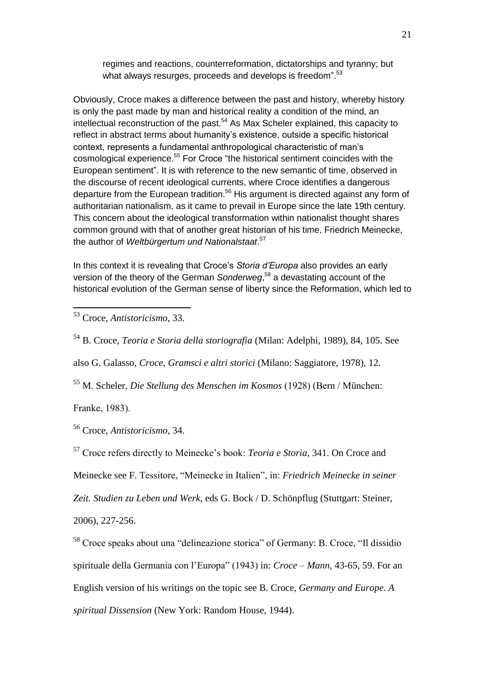regimes and reactions, counterreformation, dictatorships and tyranny; but what always resurges, proceeds and develops is freedom".<sup>53</sup>

Obviously, Croce makes a difference between the past and history, whereby history is only the past made by man and historical reality a condition of the mind, an intellectual reconstruction of the past.<sup>54</sup> As Max Scheler explained, this capacity to reflect in abstract terms about humanity's existence, outside a specific historical context, represents a fundamental anthropological characteristic of man's cosmological experience.<sup>55</sup> For Croce "the historical sentiment coincides with the European sentiment". It is with reference to the new semantic of time, observed in the discourse of recent ideological currents, where Croce identifies a dangerous departure from the European tradition.<sup>56</sup> His argument is directed against any form of authoritarian nationalism, as it came to prevail in Europe since the late 19th century. This concern about the ideological transformation within nationalist thought shares common ground with that of another great historian of his time, Friedrich Meinecke, the author of *Weltbürgertum und Nationalstaat*. 57

In this context it is revealing that Croce's *Storia d'Europa* also provides an early version of the theory of the German *Sonderweg*, <sup>58</sup> a devastating account of the historical evolution of the German sense of liberty since the Reformation, which led to

<sup>54</sup> B. Croce, *Teoria e Storia della storiografia* (Milan: Adelphi, 1989), 84, 105. See

also G. Galasso, *Croce, Gramsci e altri storici* (Milano: Saggiatore, 1978), 12.

<sup>55</sup> M. Scheler, *Die Stellung des Menschen im Kosmos* (1928) (Bern / München:

Franke, 1983).

1

<sup>56</sup> Croce, *Antistoricismo*, 34.

<sup>57</sup> Croce refers directly to Meinecke's book: *Teoria e Storia*, 341. On Croce and

Meinecke see F. Tessitore, "Meinecke in Italien", in: *Friedrich Meinecke in seiner* 

*Zeit. Studien zu Leben und Werk*, eds G. Bock / D. Schönpflug (Stuttgart: Steiner,

2006), 227-256.

<sup>58</sup> Croce speaks about una "delineazione storica" of Germany: B. Croce, "Il dissidio

spirituale della Germania con l'Europa" (1943) in: *Croce – Mann,* 43-65, 59. For an

English version of his writings on the topic see B. Croce, *Germany and Europe. A* 

*spiritual Dissension* (New York: Random House, 1944).

<sup>53</sup> Croce, *Antistoricismo*, 33.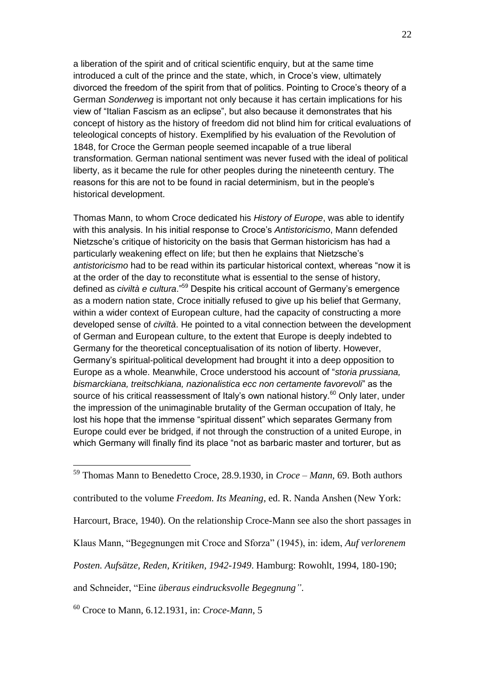a liberation of the spirit and of critical scientific enquiry, but at the same time introduced a cult of the prince and the state, which, in Croce's view, ultimately divorced the freedom of the spirit from that of politics. Pointing to Croce's theory of a German *Sonderweg* is important not only because it has certain implications for his view of "Italian Fascism as an eclipse", but also because it demonstrates that his concept of history as the history of freedom did not blind him for critical evaluations of teleological concepts of history. Exemplified by his evaluation of the Revolution of 1848, for Croce the German people seemed incapable of a true liberal transformation. German national sentiment was never fused with the ideal of political liberty, as it became the rule for other peoples during the nineteenth century. The reasons for this are not to be found in racial determinism, but in the people's historical development.

Thomas Mann, to whom Croce dedicated his *History of Europe*, was able to identify with this analysis. In his initial response to Croce's *Antistoricismo*, Mann defended Nietzsche's critique of historicity on the basis that German historicism has had a particularly weakening effect on life; but then he explains that Nietzsche's *antistoricismo* had to be read within its particular historical context, whereas "now it is at the order of the day to reconstitute what is essential to the sense of history, defined as *civiltà e cultura*."<sup>59</sup> Despite his critical account of Germany's emergence as a modern nation state, Croce initially refused to give up his belief that Germany, within a wider context of European culture, had the capacity of constructing a more developed sense of *civiltà*. He pointed to a vital connection between the development of German and European culture, to the extent that Europe is deeply indebted to Germany for the theoretical conceptualisation of its notion of liberty. However, Germany's spiritual-political development had brought it into a deep opposition to Europe as a whole. Meanwhile, Croce understood his account of "*storia prussiana, bismarckiana, treitschkiana, nazionalistica ecc non certamente favorevoli*" as the source of his critical reassessment of Italy's own national history.<sup>60</sup> Only later, under the impression of the unimaginable brutality of the German occupation of Italy, he lost his hope that the immense "spiritual dissent" which separates Germany from Europe could ever be bridged, if not through the construction of a united Europe, in which Germany will finally find its place "not as barbaric master and torturer, but as

<sup>59</sup> Thomas Mann to Benedetto Croce, 28.9.1930, in *Croce – Mann,* 69. Both authors contributed to the volume *Freedom. Its Meaning*, ed. R. Nanda Anshen (New York: Harcourt, Brace, 1940). On the relationship Croce-Mann see also the short passages in Klaus Mann, "Begegnungen mit Croce and Sforza" (1945), in: idem, *Auf verlorenem Posten. Aufsätze, Reden, Kritiken, 1942-1949*. Hamburg: Rowohlt, 1994, 180-190; and Schneider, "Eine *überaus eindrucksvolle Begegnung"*.

<sup>60</sup> Croce to Mann, 6.12.1931, in: *Croce-Mann*, 5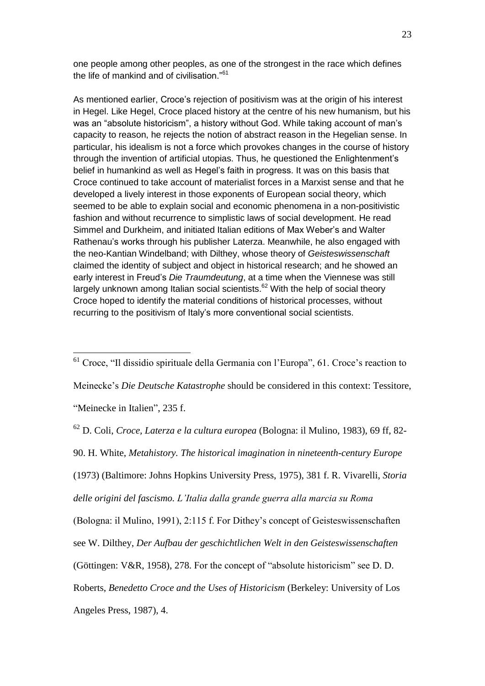one people among other peoples, as one of the strongest in the race which defines the life of mankind and of civilisation."<sup>61</sup>

As mentioned earlier, Croce's rejection of positivism was at the origin of his interest in Hegel. Like Hegel, Croce placed history at the centre of his new humanism, but his was an "absolute historicism", a history without God. While taking account of man's capacity to reason, he rejects the notion of abstract reason in the Hegelian sense. In particular, his idealism is not a force which provokes changes in the course of history through the invention of artificial utopias. Thus, he questioned the Enlightenment's belief in humankind as well as Hegel's faith in progress. It was on this basis that Croce continued to take account of materialist forces in a Marxist sense and that he developed a lively interest in those exponents of European social theory, which seemed to be able to explain social and economic phenomena in a non-positivistic fashion and without recurrence to simplistic laws of social development. He read Simmel and Durkheim, and initiated Italian editions of Max Weber's and Walter Rathenau's works through his publisher Laterza. Meanwhile, he also engaged with the neo-Kantian Windelband; with Dilthey, whose theory of *Geisteswissenschaft* claimed the identity of subject and object in historical research; and he showed an early interest in Freud's *Die Traumdeutung*, at a time when the Viennese was still largely unknown among Italian social scientists.<sup>62</sup> With the help of social theory Croce hoped to identify the material conditions of historical processes, without recurring to the positivism of Italy's more conventional social scientists.

1

<sup>62</sup> D. Coli, *Croce, Laterza e la cultura europea* (Bologna: il Mulino, 1983), 69 ff, 82- 90. H. White, *Metahistory. The historical imagination in nineteenth-century Europe* (1973) (Baltimore: Johns Hopkins University Press, 1975), 381 f. R. Vivarelli, *Storia delle origini del fascismo. L'Italia dalla grande guerra alla marcia su Roma* (Bologna: il Mulino, 1991), 2:115 f. For Dithey's concept of Geisteswissenschaften see W. Dilthey, *Der Aufbau der geschichtlichen Welt in den Geisteswissenschaften*  (Göttingen: V&R, 1958), 278. For the concept of "absolute historicism" see D. D. Roberts, *Benedetto Croce and the Uses of Historicism* (Berkeley: University of Los Angeles Press, 1987), 4.

<sup>61</sup> Croce, "Il dissidio spirituale della Germania con l'Europa", 61. Croce's reaction to Meinecke's *Die Deutsche Katastrophe* should be considered in this context: Tessitore, "Meinecke in Italien", 235 f.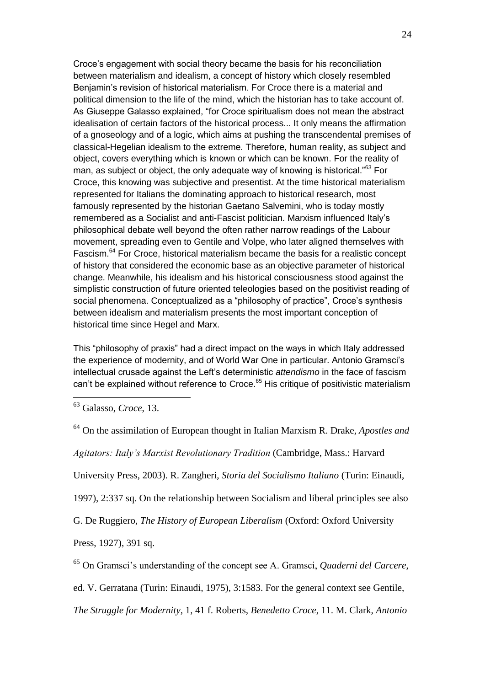Croce's engagement with social theory became the basis for his reconciliation between materialism and idealism, a concept of history which closely resembled Benjamin's revision of historical materialism. For Croce there is a material and political dimension to the life of the mind, which the historian has to take account of. As Giuseppe Galasso explained, "for Croce spiritualism does not mean the abstract idealisation of certain factors of the historical process... It only means the affirmation of a gnoseology and of a logic, which aims at pushing the transcendental premises of classical-Hegelian idealism to the extreme. Therefore, human reality, as subject and object, covers everything which is known or which can be known. For the reality of man, as subject or object, the only adequate way of knowing is historical."<sup>63</sup> For Croce, this knowing was subjective and presentist. At the time historical materialism represented for Italians the dominating approach to historical research, most famously represented by the historian Gaetano Salvemini, who is today mostly remembered as a Socialist and anti-Fascist politician. Marxism influenced Italy's philosophical debate well beyond the often rather narrow readings of the Labour movement, spreading even to Gentile and Volpe, who later aligned themselves with Fascism.<sup>64</sup> For Croce, historical materialism became the basis for a realistic concept of history that considered the economic base as an objective parameter of historical change. Meanwhile, his idealism and his historical consciousness stood against the simplistic construction of future oriented teleologies based on the positivist reading of social phenomena. Conceptualized as a "philosophy of practice", Croce's synthesis between idealism and materialism presents the most important conception of historical time since Hegel and Marx.

This "philosophy of praxis" had a direct impact on the ways in which Italy addressed the experience of modernity, and of World War One in particular. Antonio Gramsci's intellectual crusade against the Left's deterministic *attendismo* in the face of fascism can't be explained without reference to Croce.<sup>65</sup> His critique of positivistic materialism

<sup>63</sup> Galasso, *Croce*, 13.

<u>.</u>

<sup>64</sup> On the assimilation of European thought in Italian Marxism R. Drake, *Apostles and Agitators: Italy's Marxist Revolutionary Tradition* (Cambridge, Mass.: Harvard University Press, 2003). R. Zangheri, *Storia del Socialismo Italiano* (Turin: Einaudi, 1997), 2:337 sq. On the relationship between Socialism and liberal principles see also G. De Ruggiero, *The History of European Liberalism* (Oxford: Oxford University Press, 1927), 391 sq. <sup>65</sup> On Gramsci's understanding of the concept see A. Gramsci, *Quaderni del Carcere*,

ed. V. Gerratana (Turin: Einaudi*,* 1975), 3:1583. For the general context see Gentile,

*The Struggle for Modernity*, 1, 41 f. Roberts, *Benedetto Croce*, 11. M. Clark, *Antonio*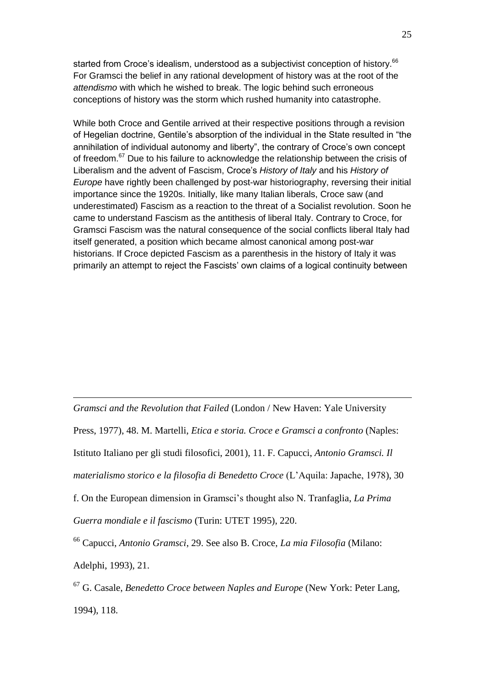started from Croce's idealism, understood as a subjectivist conception of history.<sup>66</sup> For Gramsci the belief in any rational development of history was at the root of the *attendismo* with which he wished to break. The logic behind such erroneous conceptions of history was the storm which rushed humanity into catastrophe.

While both Croce and Gentile arrived at their respective positions through a revision of Hegelian doctrine, Gentile's absorption of the individual in the State resulted in "the annihilation of individual autonomy and liberty", the contrary of Croce's own concept of freedom.<sup>67</sup> Due to his failure to acknowledge the relationship between the crisis of Liberalism and the advent of Fascism, Croce's *History of Italy* and his *History of Europe* have rightly been challenged by post-war historiography, reversing their initial importance since the 1920s. Initially, like many Italian liberals, Croce saw (and underestimated) Fascism as a reaction to the threat of a Socialist revolution. Soon he came to understand Fascism as the antithesis of liberal Italy. Contrary to Croce, for Gramsci Fascism was the natural consequence of the social conflicts liberal Italy had itself generated, a position which became almost canonical among post-war historians. If Croce depicted Fascism as a parenthesis in the history of Italy it was primarily an attempt to reject the Fascists' own claims of a logical continuity between

*Gramsci and the Revolution that Failed* (London / New Haven: Yale University

<u>.</u>

Press, 1977), 48. M. Martelli, *Etica e storia. Croce e Gramsci a confronto* (Naples:

Istituto Italiano per gli studi filosofici, 2001), 11. F. Capucci, *Antonio Gramsci. Il* 

*materialismo storico e la filosofia di Benedetto Croce* (L'Aquila: Japache, 1978), 30

f. On the European dimension in Gramsci's thought also N. Tranfaglia, *La Prima Guerra mondiale e il fascismo* (Turin: UTET 1995), 220.

<sup>66</sup> Capucci, *Antonio Gramsci*, 29. See also B. Croce, *La mia Filosofia* (Milano: Adelphi, 1993), 21.

<sup>67</sup> G. Casale, *Benedetto Croce between Naples and Europe* (New York: Peter Lang, 1994), 118.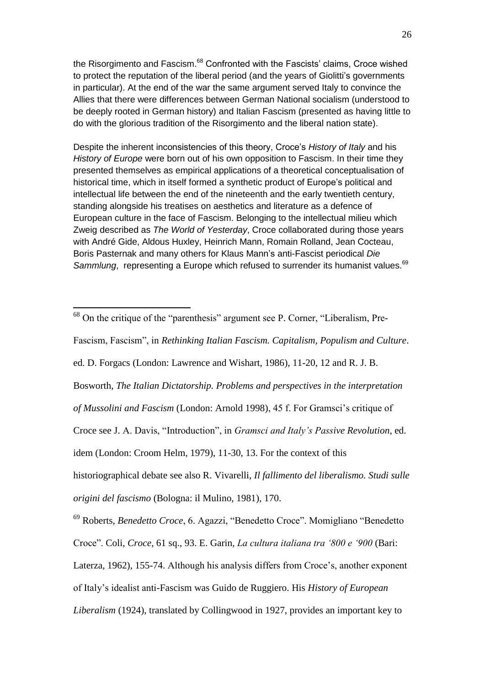the Risorgimento and Fascism.<sup>68</sup> Confronted with the Fascists' claims, Croce wished to protect the reputation of the liberal period (and the years of Giolitti's governments in particular). At the end of the war the same argument served Italy to convince the Allies that there were differences between German National socialism (understood to be deeply rooted in German history) and Italian Fascism (presented as having little to do with the glorious tradition of the Risorgimento and the liberal nation state).

Despite the inherent inconsistencies of this theory, Croce's *History of Italy* and his *History of Europe* were born out of his own opposition to Fascism. In their time they presented themselves as empirical applications of a theoretical conceptualisation of historical time, which in itself formed a synthetic product of Europe's political and intellectual life between the end of the nineteenth and the early twentieth century, standing alongside his treatises on aesthetics and literature as a defence of European culture in the face of Fascism. Belonging to the intellectual milieu which Zweig described as *The World of Yesterday*, Croce collaborated during those years with André Gide, Aldous Huxley, Heinrich Mann, Romain Rolland, Jean Cocteau, Boris Pasternak and many others for Klaus Mann's anti-Fascist periodical *Die*  Sammlung, representing a Europe which refused to surrender its humanist values.<sup>69</sup>

Fascism, Fascism", in *Rethinking Italian Fascism. Capitalism, Populism and Culture*.

ed. D. Forgacs (London: Lawrence and Wishart, 1986), 11-20, 12 and R. J. B.

Bosworth, *The Italian Dictatorship. Problems and perspectives in the interpretation* 

*of Mussolini and Fascism* (London: Arnold 1998), 45 f. For Gramsci's critique of

Croce see J. A. Davis, "Introduction", in *Gramsci and Italy's Passive Revolution*, ed.

idem (London: Croom Helm, 1979), 11-30, 13. For the context of this

historiographical debate see also R. Vivarelli, *Il fallimento del liberalismo. Studi sulle* 

*origini del fascismo* (Bologna: il Mulino, 1981), 170.

1

<sup>69</sup> Roberts, *Benedetto Croce*, 6. Agazzi, "Benedetto Croce". Momigliano "Benedetto

Laterza, 1962), 155-74. Although his analysis differs from Croce's, another exponent

of Italy's idealist anti-Fascism was Guido de Ruggiero. His *History of European* 

*Liberalism* (1924), translated by Collingwood in 1927, provides an important key to

<sup>&</sup>lt;sup>68</sup> On the critique of the "parenthesis" argument see P. Corner, "Liberalism, Pre-

Croce". Coli, *Croce*, 61 sq., 93. E. Garin, *La cultura italiana tra '800 e '900* (Bari: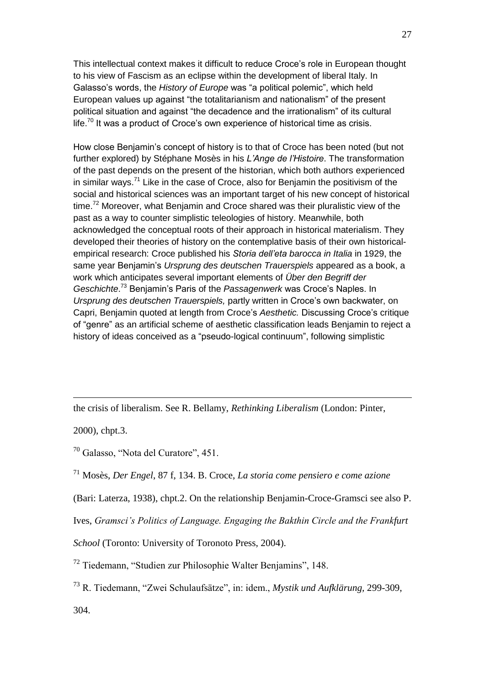This intellectual context makes it difficult to reduce Croce's role in European thought to his view of Fascism as an eclipse within the development of liberal Italy. In Galasso's words, the *History of Europe* was "a political polemic", which held European values up against "the totalitarianism and nationalism" of the present political situation and against "the decadence and the irrationalism" of its cultural  $l$  life.<sup>70</sup> It was a product of Croce's own experience of historical time as crisis.

How close Benjamin's concept of history is to that of Croce has been noted (but not further explored) by Stéphane Mosès in his *L'Ange de l'Histoire*. The transformation of the past depends on the present of the historian, which both authors experienced in similar ways.<sup>71</sup> Like in the case of Croce, also for Benjamin the positivism of the social and historical sciences was an important target of his new concept of historical time.<sup>72</sup> Moreover, what Benjamin and Croce shared was their pluralistic view of the past as a way to counter simplistic teleologies of history. Meanwhile, both acknowledged the conceptual roots of their approach in historical materialism. They developed their theories of history on the contemplative basis of their own historicalempirical research: Croce published his *Storia dell'eta barocca in Italia* in 1929, the same year Benjamin's *Ursprung des deutschen Trauerspiels* appeared as a book, a work which anticipates several important elements of *Über den Begriff der Geschichte*. <sup>73</sup> Benjamin's Paris of the *Passagenwerk* was Croce's Naples. In *Ursprung des deutschen Trauerspiels,* partly written in Croce's own backwater, on Capri, Benjamin quoted at length from Croce's *Aesthetic.* Discussing Croce's critique of "genre" as an artificial scheme of aesthetic classification leads Benjamin to reject a history of ideas conceived as a "pseudo-logical continuum", following simplistic

the crisis of liberalism. See R. Bellamy, *Rethinking Liberalism* (London: Pinter,

2000), chpt.3.

<u>.</u>

<sup>70</sup> Galasso, "Nota del Curatore", 451.

<sup>71</sup> Mosès, *Der Engel*, 87 f, 134. B. Croce, *La storia come pensiero e come azione*

(Bari: Laterza, 1938), chpt.2. On the relationship Benjamin-Croce-Gramsci see also P.

Ives, *Gramsci's Politics of Language. Engaging the Bakthin Circle and the Frankfurt* 

*School* (Toronto: University of Toronoto Press, 2004).

 $<sup>72</sup>$  Tiedemann, "Studien zur Philosophie Walter Benjamins", 148.</sup>

<sup>73</sup> R. Tiedemann, "Zwei Schulaufsätze", in: idem., *Mystik und Aufklärung,* 299-309,

304.